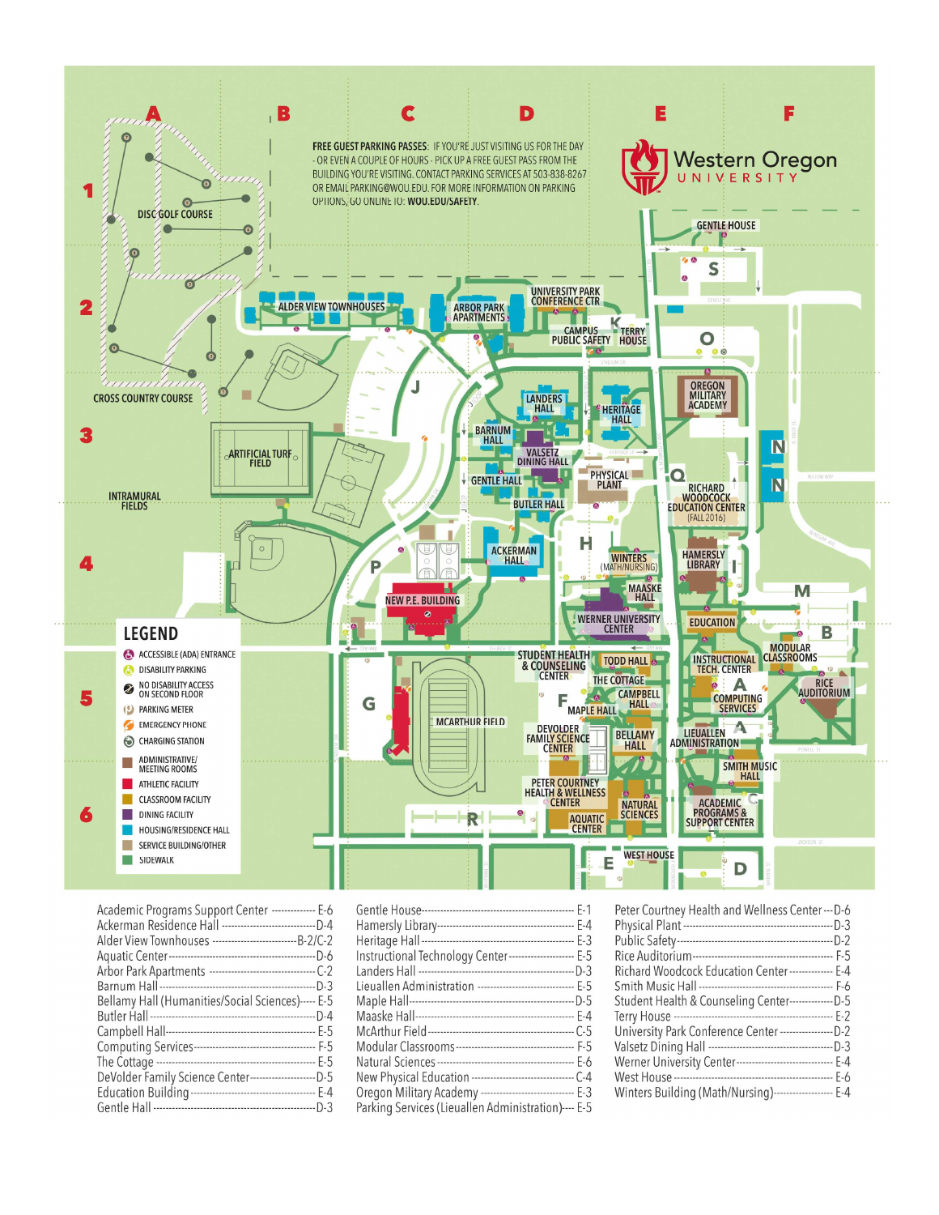

| Academic Programs Support Center -------------- E-6            |
|----------------------------------------------------------------|
| Ackerman Residence Hall --------------------------------D-4    |
| Alder View Townhouses -------------------------------- B-2/C-2 |
|                                                                |
|                                                                |
|                                                                |
| Bellamy Hall (Humanities/Social Sciences)----- E-5             |
|                                                                |
|                                                                |
|                                                                |
|                                                                |
| DeVolder Family Science Center----------------------D-5        |
|                                                                |
|                                                                |